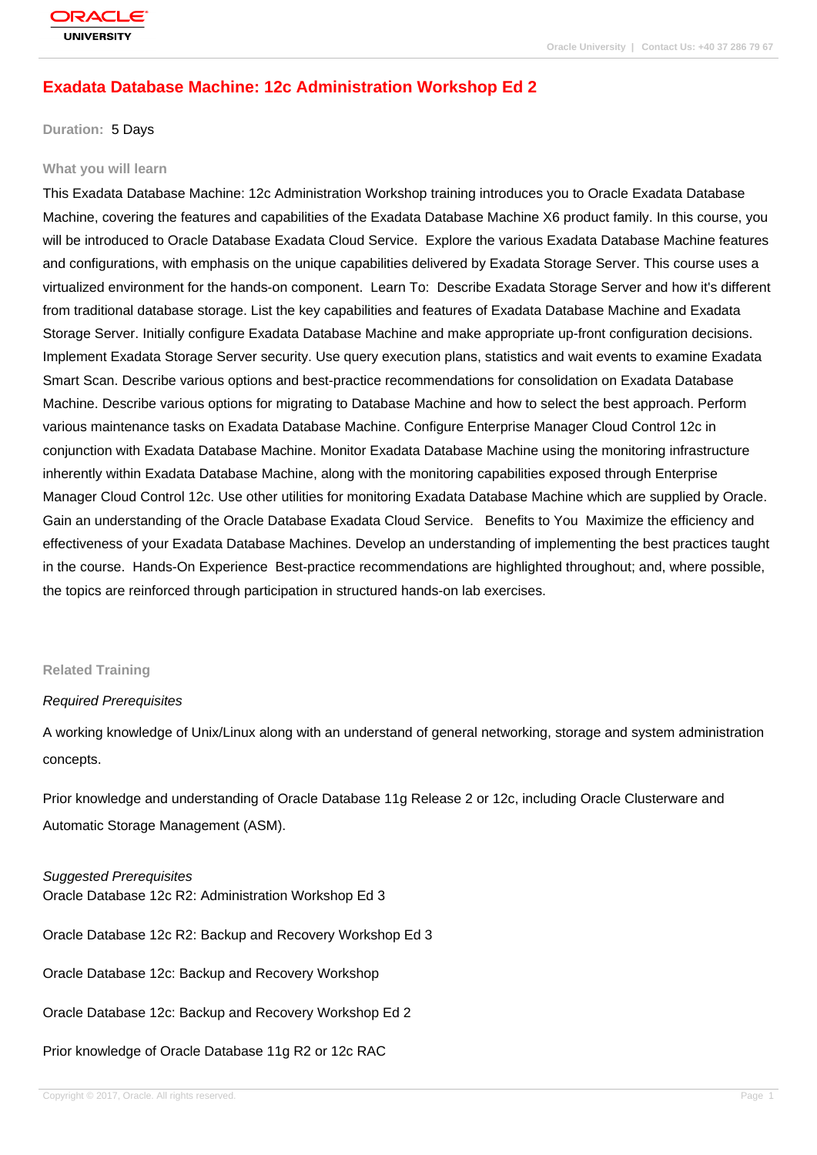# **[Exadata Datab](http://education.oracle.com/pls/web_prod-plq-dad/db_pages.getpage?page_id=3)ase Machine: 12c Administration Workshop Ed 2**

#### **Duration:** 5 Days

#### **What you will learn**

This Exadata Database Machine: 12c Administration Workshop training introduces you to Oracle Exadata Database Machine, covering the features and capabilities of the Exadata Database Machine X6 product family. In this course, you will be introduced to Oracle Database Exadata Cloud Service. Explore the various Exadata Database Machine features and configurations, with emphasis on the unique capabilities delivered by Exadata Storage Server. This course uses a virtualized environment for the hands-on component. Learn To: Describe Exadata Storage Server and how it's different from traditional database storage. List the key capabilities and features of Exadata Database Machine and Exadata Storage Server. Initially configure Exadata Database Machine and make appropriate up-front configuration decisions. Implement Exadata Storage Server security. Use query execution plans, statistics and wait events to examine Exadata Smart Scan. Describe various options and best-practice recommendations for consolidation on Exadata Database Machine. Describe various options for migrating to Database Machine and how to select the best approach. Perform various maintenance tasks on Exadata Database Machine. Configure Enterprise Manager Cloud Control 12c in conjunction with Exadata Database Machine. Monitor Exadata Database Machine using the monitoring infrastructure inherently within Exadata Database Machine, along with the monitoring capabilities exposed through Enterprise Manager Cloud Control 12c. Use other utilities for monitoring Exadata Database Machine which are supplied by Oracle. Gain an understanding of the Oracle Database Exadata Cloud Service. Benefits to You Maximize the efficiency and effectiveness of your Exadata Database Machines. Develop an understanding of implementing the best practices taught in the course. Hands-On Experience Best-practice recommendations are highlighted throughout; and, where possible, the topics are reinforced through participation in structured hands-on lab exercises.

#### **Related Training**

#### Required Prerequisites

A working knowledge of Unix/Linux along with an understand of general networking, storage and system administration concepts.

Prior knowledge and understanding of Oracle Database 11g Release 2 or 12c, including Oracle Clusterware and Automatic Storage Management (ASM).

Suggested Prerequisites Oracle Database 12c R2: Administration Workshop Ed 3

Oracle Database 12c R2: Backup and Recovery Workshop Ed 3

Oracle Database 12c: Backup and Recovery Workshop

Oracle Database 12c: Backup and Recovery Workshop Ed 2

Prior knowledge of Oracle Database 11g R2 or 12c RAC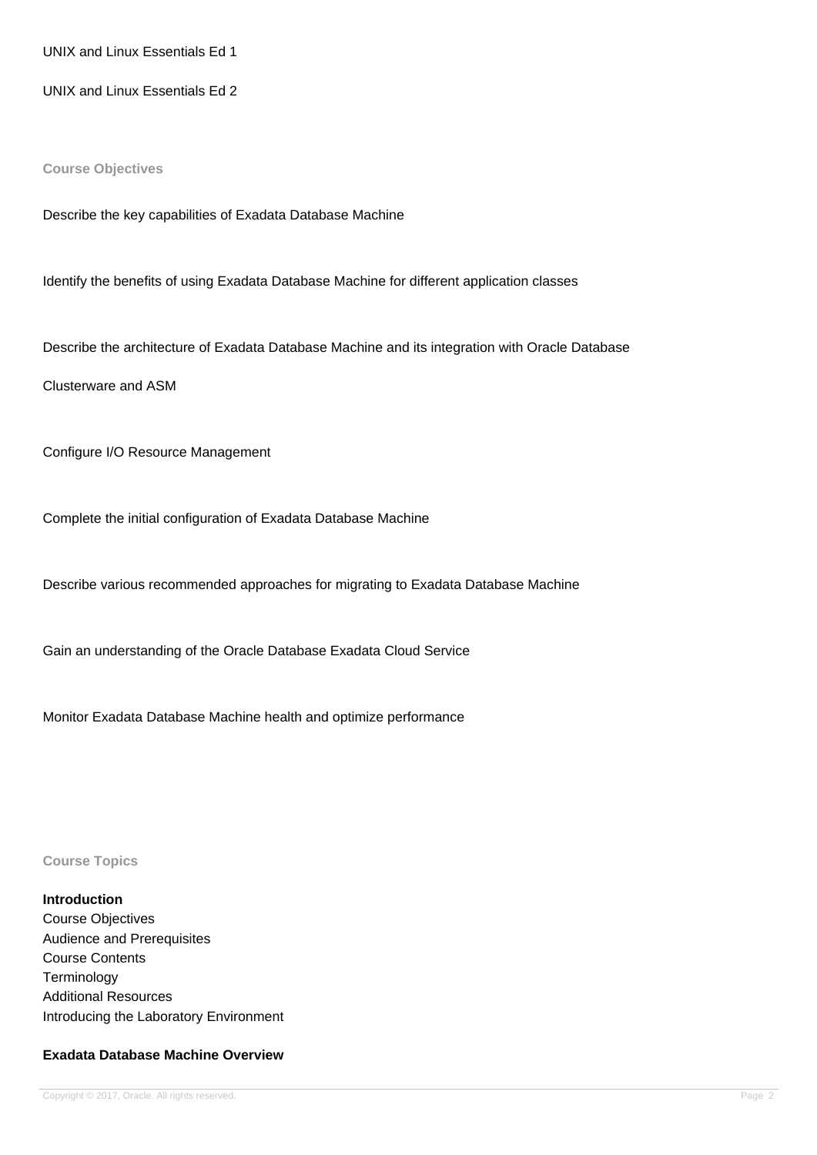UNIX and Linux Essentials Ed 1

UNIX and Linux Essentials Ed 2

**Course Objectives**

Describe the key capabilities of Exadata Database Machine

Identify the benefits of using Exadata Database Machine for different application classes

Describe the architecture of Exadata Database Machine and its integration with Oracle Database

Clusterware and ASM

Configure I/O Resource Management

Complete the initial configuration of Exadata Database Machine

Describe various recommended approaches for migrating to Exadata Database Machine

Gain an understanding of the Oracle Database Exadata Cloud Service

Monitor Exadata Database Machine health and optimize performance

**Course Topics**

**Introduction** Course Objectives Audience and Prerequisites Course Contents **Terminology** Additional Resources Introducing the Laboratory Environment

#### **Exadata Database Machine Overview**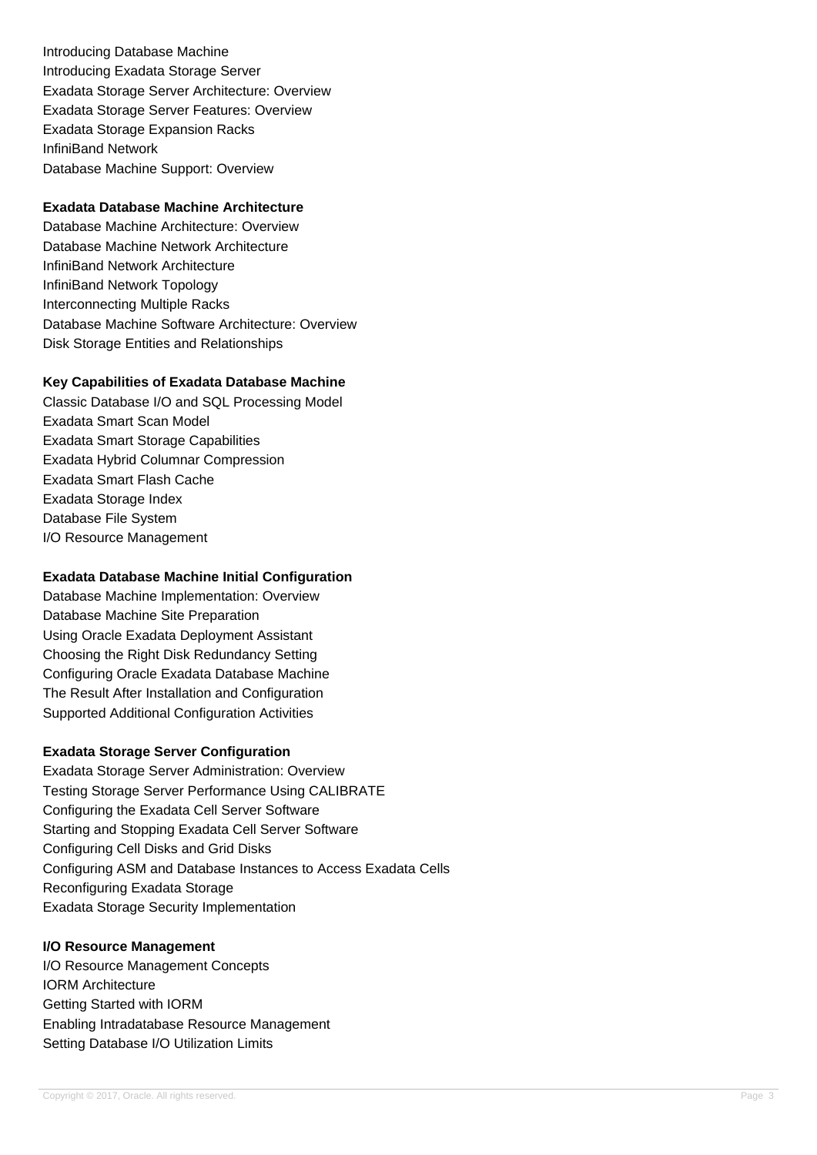Introducing Database Machine Introducing Exadata Storage Server Exadata Storage Server Architecture: Overview Exadata Storage Server Features: Overview Exadata Storage Expansion Racks InfiniBand Network Database Machine Support: Overview

## **Exadata Database Machine Architecture**

Database Machine Architecture: Overview Database Machine Network Architecture InfiniBand Network Architecture InfiniBand Network Topology Interconnecting Multiple Racks Database Machine Software Architecture: Overview Disk Storage Entities and Relationships

### **Key Capabilities of Exadata Database Machine**

Classic Database I/O and SQL Processing Model Exadata Smart Scan Model Exadata Smart Storage Capabilities Exadata Hybrid Columnar Compression Exadata Smart Flash Cache Exadata Storage Index Database File System I/O Resource Management

# **Exadata Database Machine Initial Configuration**

Database Machine Implementation: Overview Database Machine Site Preparation Using Oracle Exadata Deployment Assistant Choosing the Right Disk Redundancy Setting Configuring Oracle Exadata Database Machine The Result After Installation and Configuration Supported Additional Configuration Activities

### **Exadata Storage Server Configuration**

Exadata Storage Server Administration: Overview Testing Storage Server Performance Using CALIBRATE Configuring the Exadata Cell Server Software Starting and Stopping Exadata Cell Server Software Configuring Cell Disks and Grid Disks Configuring ASM and Database Instances to Access Exadata Cells Reconfiguring Exadata Storage Exadata Storage Security Implementation

### **I/O Resource Management**

I/O Resource Management Concepts IORM Architecture Getting Started with IORM Enabling Intradatabase Resource Management Setting Database I/O Utilization Limits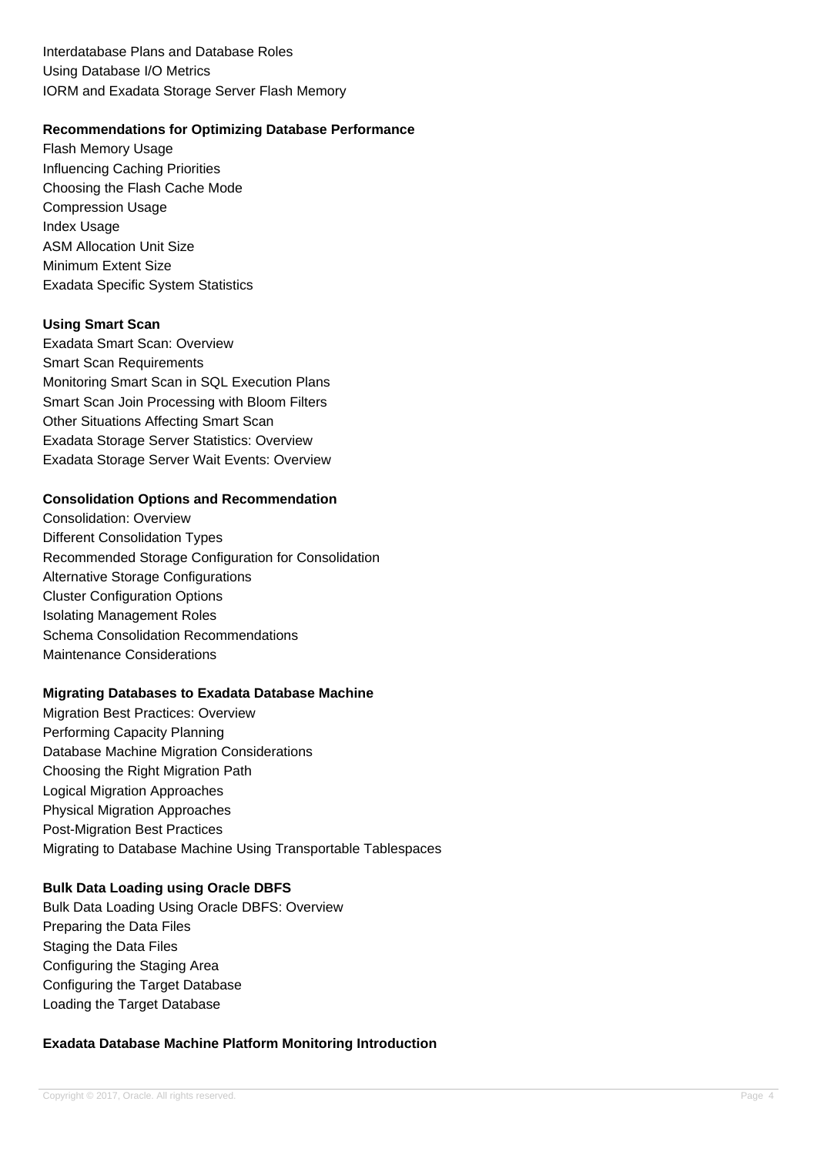Interdatabase Plans and Database Roles Using Database I/O Metrics IORM and Exadata Storage Server Flash Memory

### **Recommendations for Optimizing Database Performance**

Flash Memory Usage Influencing Caching Priorities Choosing the Flash Cache Mode Compression Usage Index Usage ASM Allocation Unit Size Minimum Extent Size Exadata Specific System Statistics

### **Using Smart Scan**

Exadata Smart Scan: Overview Smart Scan Requirements Monitoring Smart Scan in SQL Execution Plans Smart Scan Join Processing with Bloom Filters Other Situations Affecting Smart Scan Exadata Storage Server Statistics: Overview Exadata Storage Server Wait Events: Overview

### **Consolidation Options and Recommendation**

Consolidation: Overview Different Consolidation Types Recommended Storage Configuration for Consolidation Alternative Storage Configurations Cluster Configuration Options Isolating Management Roles Schema Consolidation Recommendations Maintenance Considerations

### **Migrating Databases to Exadata Database Machine**

Migration Best Practices: Overview Performing Capacity Planning Database Machine Migration Considerations Choosing the Right Migration Path Logical Migration Approaches Physical Migration Approaches Post-Migration Best Practices Migrating to Database Machine Using Transportable Tablespaces

### **Bulk Data Loading using Oracle DBFS**

Bulk Data Loading Using Oracle DBFS: Overview Preparing the Data Files Staging the Data Files Configuring the Staging Area Configuring the Target Database Loading the Target Database

# **Exadata Database Machine Platform Monitoring Introduction**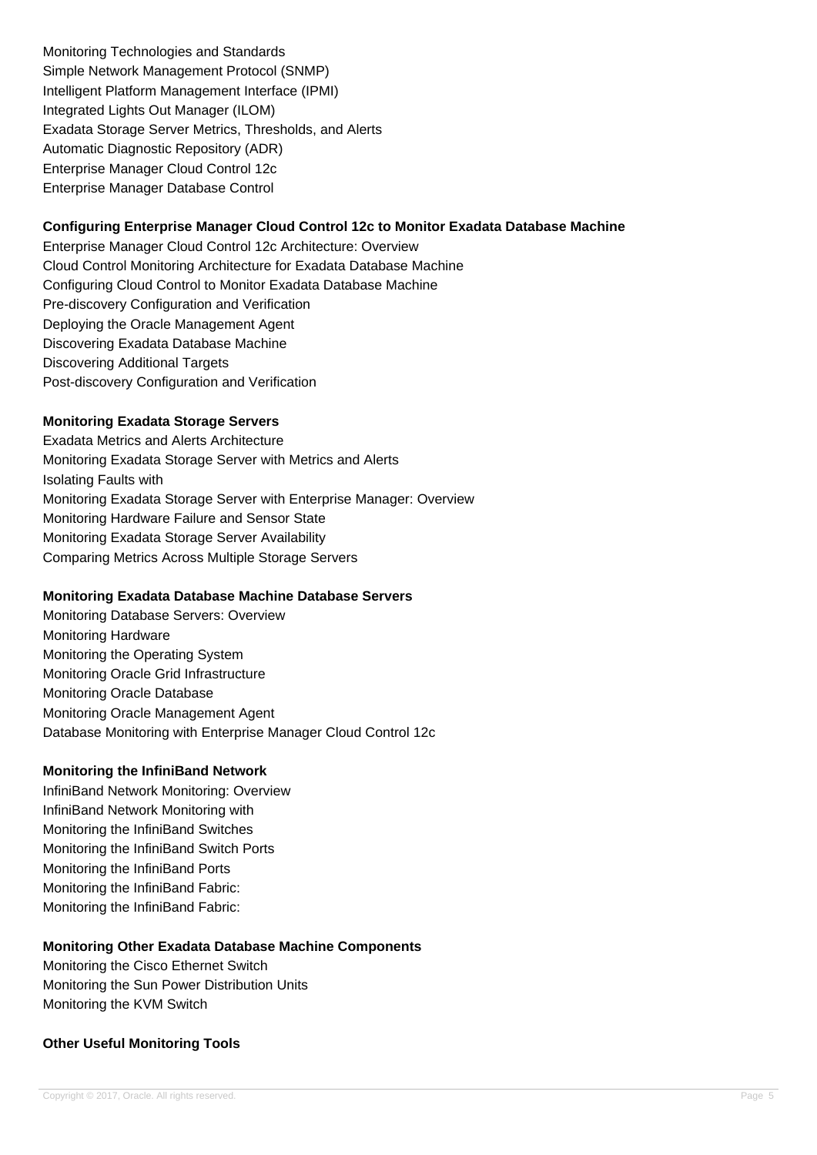Monitoring Technologies and Standards Simple Network Management Protocol (SNMP) Intelligent Platform Management Interface (IPMI) Integrated Lights Out Manager (ILOM) Exadata Storage Server Metrics, Thresholds, and Alerts Automatic Diagnostic Repository (ADR) Enterprise Manager Cloud Control 12c Enterprise Manager Database Control

# **Configuring Enterprise Manager Cloud Control 12c to Monitor Exadata Database Machine**

Enterprise Manager Cloud Control 12c Architecture: Overview Cloud Control Monitoring Architecture for Exadata Database Machine Configuring Cloud Control to Monitor Exadata Database Machine Pre-discovery Configuration and Verification Deploying the Oracle Management Agent Discovering Exadata Database Machine Discovering Additional Targets Post-discovery Configuration and Verification

## **Monitoring Exadata Storage Servers**

Exadata Metrics and Alerts Architecture Monitoring Exadata Storage Server with Metrics and Alerts Isolating Faults with Monitoring Exadata Storage Server with Enterprise Manager: Overview Monitoring Hardware Failure and Sensor State Monitoring Exadata Storage Server Availability Comparing Metrics Across Multiple Storage Servers

### **Monitoring Exadata Database Machine Database Servers**

Monitoring Database Servers: Overview Monitoring Hardware Monitoring the Operating System Monitoring Oracle Grid Infrastructure Monitoring Oracle Database Monitoring Oracle Management Agent Database Monitoring with Enterprise Manager Cloud Control 12c

### **Monitoring the InfiniBand Network**

InfiniBand Network Monitoring: Overview InfiniBand Network Monitoring with Monitoring the InfiniBand Switches Monitoring the InfiniBand Switch Ports Monitoring the InfiniBand Ports Monitoring the InfiniBand Fabric: Monitoring the InfiniBand Fabric:

# **Monitoring Other Exadata Database Machine Components**

Monitoring the Cisco Ethernet Switch Monitoring the Sun Power Distribution Units Monitoring the KVM Switch

# **Other Useful Monitoring Tools**